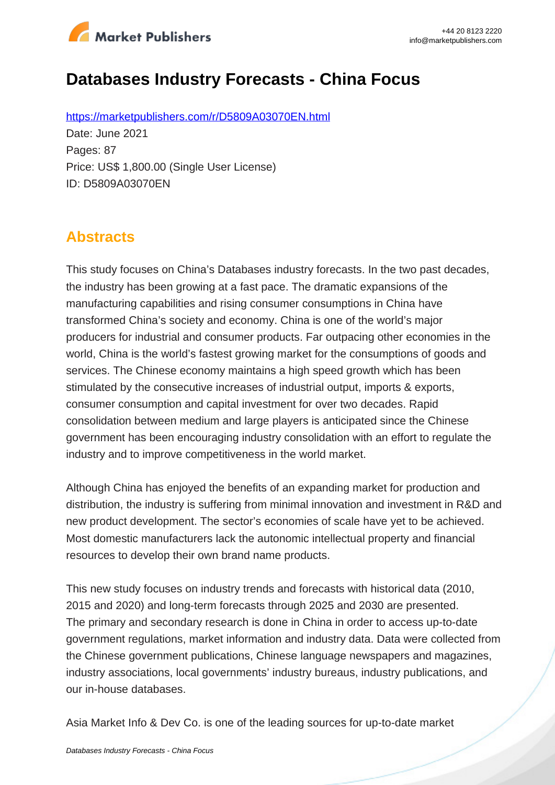

# **Databases Industry Forecasts - China Focus**

https://marketpublishers.com/r/D5809A03070EN.html Date: June 2021 Pages: 87 Price: US\$ 1,800.00 (Single User License) ID: D5809A03070EN

### **Abstracts**

This study focuses on China's Databases industry forecasts. In the two past decades, the industry has been growing at a fast pace. The dramatic expansions of the manufacturing capabilities and rising consumer consumptions in China have transformed China's society and economy. China is one of the world's major producers for industrial and consumer products. Far outpacing other economies in the world, China is the world's fastest growing market for the consumptions of goods and services. The Chinese economy maintains a high speed growth which has been stimulated by the consecutive increases of industrial output, imports & exports, consumer consumption and capital investment for over two decades. Rapid consolidation between medium and large players is anticipated since the Chinese government has been encouraging industry consolidation with an effort to regulate the industry and to improve competitiveness in the world market.

Although China has enjoyed the benefits of an expanding market for production and distribution, the industry is suffering from minimal innovation and investment in R&D and new product development. The sector's economies of scale have yet to be achieved. Most domestic manufacturers lack the autonomic intellectual property and financial resources to develop their own brand name products.

This new study focuses on industry trends and forecasts with historical data (2010, 2015 and 2020) and long-term forecasts through 2025 and 2030 are presented. The primary and secondary research is done in China in order to access up-to-date government regulations, market information and industry data. Data were collected from the Chinese government publications, Chinese language newspapers and magazines, industry associations, local governments' industry bureaus, industry publications, and our in-house databases.

Asia Market Info & Dev Co. is one of the leading sources for up-to-date market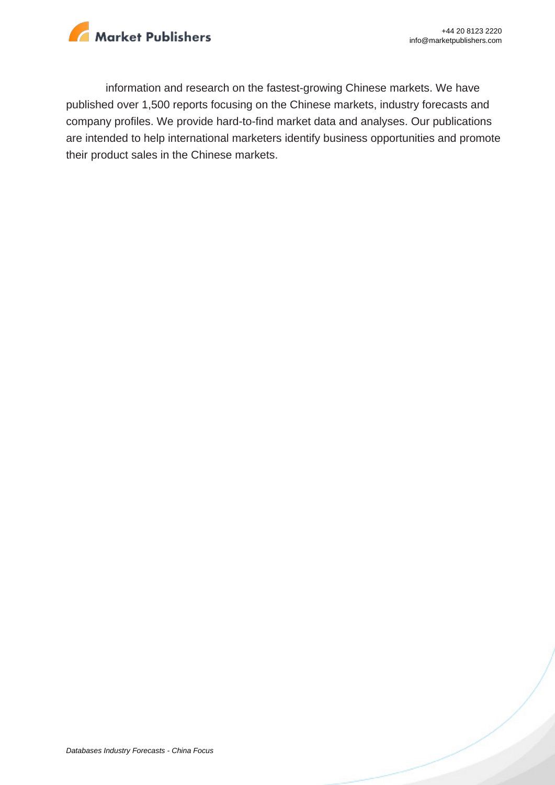

information and research on the fastest-growing Chinese markets. We have published over 1,500 reports focusing on the Chinese markets, industry forecasts and company profiles. We provide hard-to-find market data and analyses. Our publications are intended to help international marketers identify business opportunities and promote their product sales in the Chinese markets.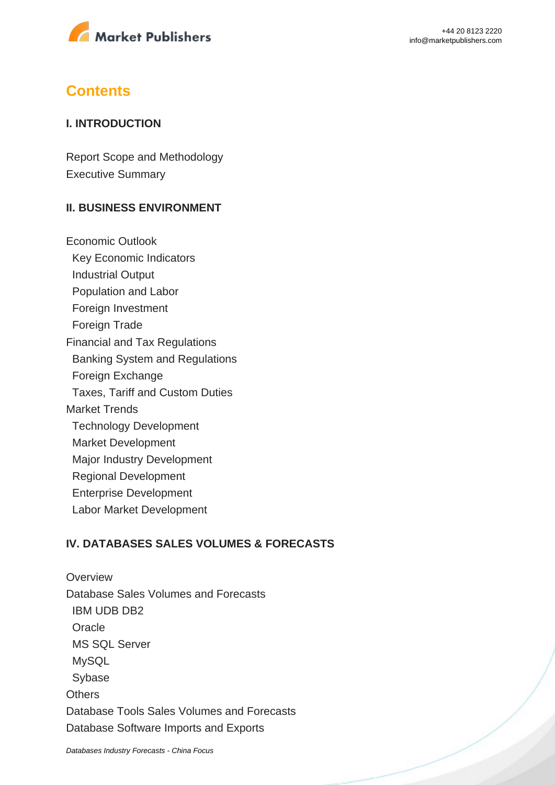

### **Contents**

#### **I. INTRODUCTION**

Report Scope and Methodology Executive Summary

#### **II. BUSINESS ENVIRONMENT**

Economic Outlook Key Economic Indicators Industrial Output Population and Labor Foreign Investment Foreign Trade Financial and Tax Regulations Banking System and Regulations Foreign Exchange Taxes, Tariff and Custom Duties Market Trends Technology Development Market Development Major Industry Development Regional Development Enterprise Development Labor Market Development

#### **IV. DATABASES SALES VOLUMES & FORECASTS**

**Overview** Database Sales Volumes and Forecasts IBM UDB DB2 **Oracle**  MS SQL Server MySQL Sybase **Others** Database Tools Sales Volumes and Forecasts Database Software Imports and Exports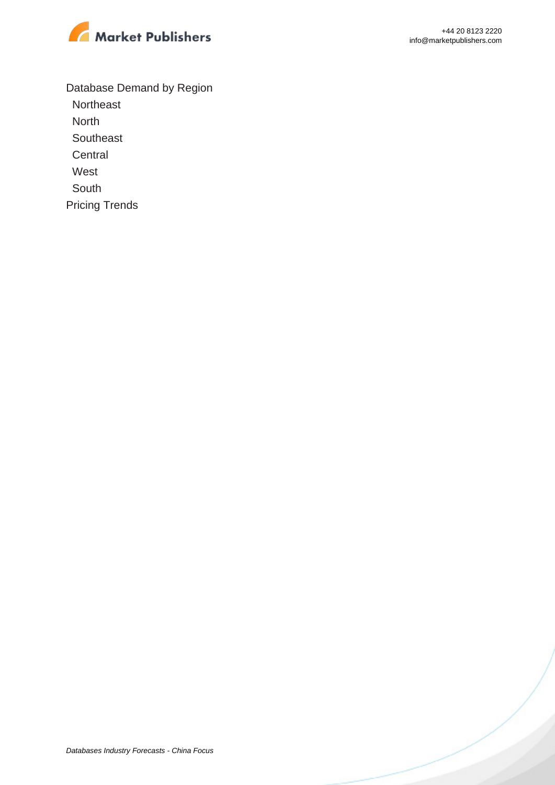

Database Demand by Region

**Northeast** 

North

**Southeast Central** 

West

South

Pricing Trends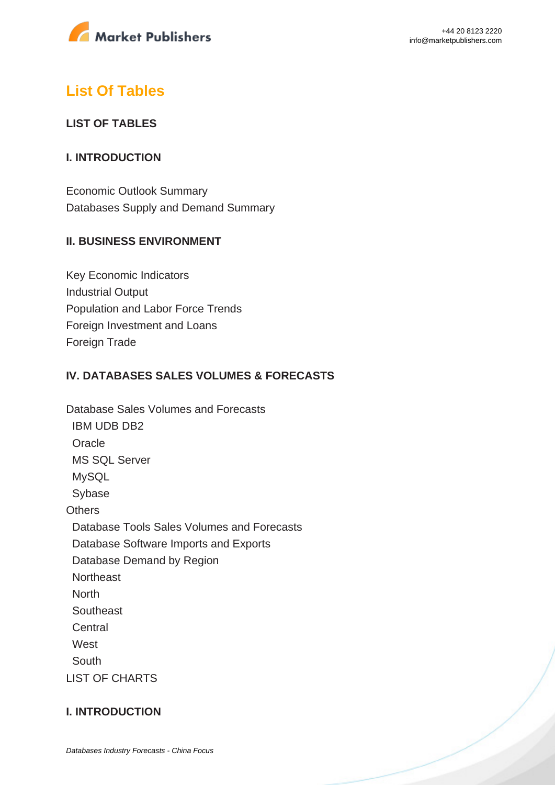

## **List Of Tables**

#### **LIST OF TABLES**

#### **I. INTRODUCTION**

Economic Outlook Summary Databases Supply and Demand Summary

#### **II. BUSINESS ENVIRONMENT**

Key Economic Indicators Industrial Output Population and Labor Force Trends Foreign Investment and Loans Foreign Trade

#### **IV. DATABASES SALES VOLUMES & FORECASTS**

Database Sales Volumes and Forecasts IBM UDB DB2 Oracle MS SQL Server MySQL Sybase **Others**  Database Tools Sales Volumes and Forecasts Database Software Imports and Exports Database Demand by Region **Northeast North Southeast Central West**  South LIST OF CHARTS

#### **I. INTRODUCTION**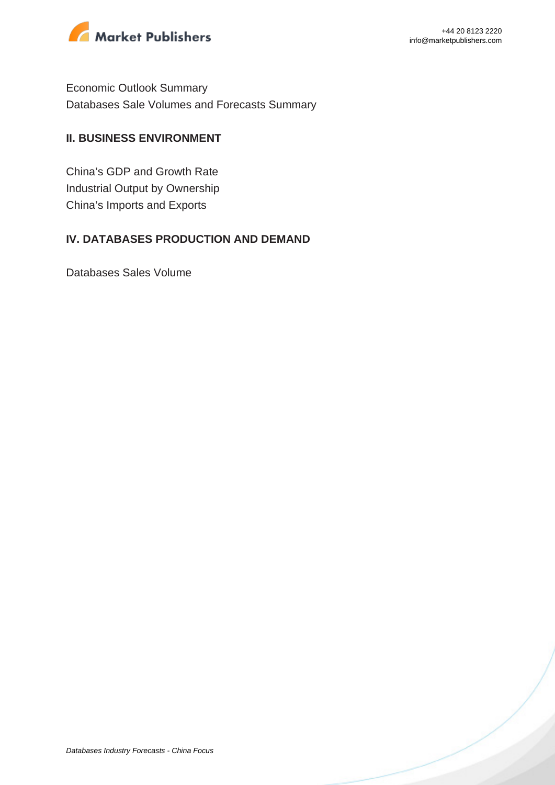

Economic Outlook Summary Databases Sale Volumes and Forecasts Summary

#### **II. BUSINESS ENVIRONMENT**

China's GDP and Growth Rate Industrial Output by Ownership China's Imports and Exports

#### **IV. DATABASES PRODUCTION AND DEMAND**

Databases Sales Volume